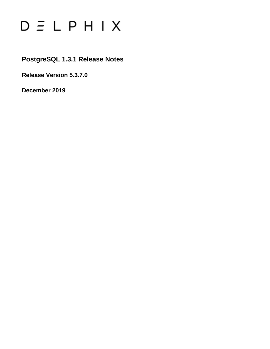# $D \subseteq L$   $P$   $H$   $I$   $X$

### **PostgreSQL 1.3.1 Release Notes**

**Release Version 5.3.7.0**

**December 2019**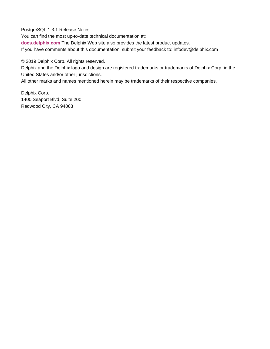PostgreSQL 1.3.1 Release Notes

You can find the most up-to-date technical documentation at:

**[docs.delphix.com](http://docs.delphix.com)** The Delphix Web site also provides the latest product updates.

If you have comments about this documentation, submit your feedback to: infodev@delphix.com

© 2019 Delphix Corp. All rights reserved.

Delphix and the Delphix logo and design are registered trademarks or trademarks of Delphix Corp. in the United States and/or other jurisdictions.

All other marks and names mentioned herein may be trademarks of their respective companies.

Delphix Corp. 1400 Seaport Blvd, Suite 200 Redwood City, CA 94063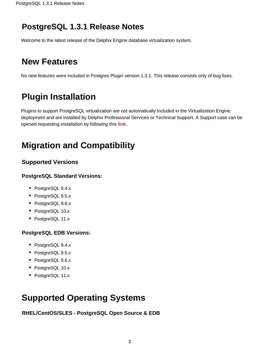### **PostgreSQL 1.3.1 Release Notes**

Welcome to the latest release of the Delphix Engine database virtualization system.

## **New Features**

No new features were included in Postgres Plugin version 1.3.1. This release consists only of bug fixes.

# **Plugin Installation**

Plugins to support PostgreSQL virtualization are not automatically included in the Virtualization Engine deployment and are installed by Delphix Professional Services or Technical Support. A Support case can be opened requesting installation by following this **[link](http://support-tickets.delphix.com/)**.

# **Migration and Compatibility**

### **Supported Versions**

#### **PostgreSQL Standard Versions:**

- PostgreSQL 9.4.x
- PostgreSQL 9.5.x
- PostgreSQL 9.6.x
- PostgreSQL 10.x
- PostgreSQL 11.x

#### **PostgreSQL EDB Versions:**

- PostgreSQL 9.4.x
- PostgreSQL 9.5.x
- PostgreSQL 9.6.x
- PostgreSQL 10.x
- PostgreSQL 11.x

### **Supported Operating Systems**

**RHEL/CentOS/SLES - PostgreSQL Open Source & EDB**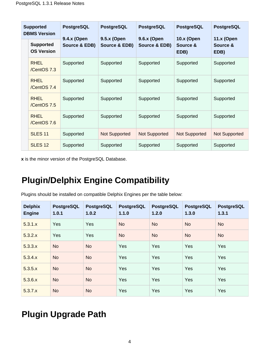| <b>Supported</b><br><b>DBMS Version</b> |                                       | <b>PostgreSQL</b>            | <b>PostgreSQL</b>            | <b>PostgreSQL</b>            | <b>PostgreSQL</b>                     | <b>PostgreSQL</b>                     |
|-----------------------------------------|---------------------------------------|------------------------------|------------------------------|------------------------------|---------------------------------------|---------------------------------------|
|                                         | <b>Supported</b><br><b>OS Version</b> | 9.4.x (Open<br>Source & EDB) | 9.5.x (Open<br>Source & EDB) | 9.6.x (Open<br>Source & EDB) | <b>10.x (Open</b><br>Source &<br>EDB) | <b>11.x (Open</b><br>Source &<br>EDB) |
|                                         | <b>RHFI</b><br>/CentOS 7.3            | Supported                    | Supported                    | Supported                    | Supported                             | Supported                             |
|                                         | <b>RHEL</b><br>/CentOS 7.4            | Supported                    | Supported                    | Supported                    | Supported                             | Supported                             |
|                                         | <b>RHEL</b><br>/CentOS 7.5            | Supported                    | Supported                    | Supported                    | Supported                             | Supported                             |
|                                         | <b>RHEL</b><br>/CentOS 7.6            | Supported                    | Supported                    | Supported                    | Supported                             | Supported                             |
|                                         | <b>SLES 11</b>                        | Supported                    | <b>Not Supported</b>         | Not Supported                | <b>Not Supported</b>                  | <b>Not Supported</b>                  |
|                                         | SLES <sub>12</sub>                    | Supported                    | Supported                    | Supported                    | Supported                             | Supported                             |

**x** is the minor version of the PostgreSQL Database.

### **Plugin/Delphix Engine Compatibility**

Plugins should be installed on compatible Delphix Engines per the table below:

| <b>Delphix</b><br><b>Engine</b> | <b>PostgreSQL</b><br>1.0.1 | <b>PostgreSQL</b><br>1.0.2 | <b>PostgreSQL</b><br>1.1.0 | <b>PostgreSQL</b><br>1.2.0 | <b>PostgreSQL</b><br>1.3.0 | <b>PostgreSQL</b><br>1.3.1 |
|---------------------------------|----------------------------|----------------------------|----------------------------|----------------------------|----------------------------|----------------------------|
| 5.3.1.x                         | Yes                        | Yes                        | <b>No</b>                  | <b>No</b>                  | <b>No</b>                  | <b>No</b>                  |
| 5.3.2.x                         | Yes                        | Yes                        | <b>No</b>                  | <b>No</b>                  | <b>No</b>                  | <b>No</b>                  |
| 5.3.3.x                         | <b>No</b>                  | <b>No</b>                  | Yes                        | Yes                        | Yes                        | Yes                        |
| 5.3.4.x                         | <b>No</b>                  | <b>No</b>                  | Yes                        | Yes                        | Yes                        | Yes                        |
| 5.3.5.x                         | <b>No</b>                  | <b>No</b>                  | Yes                        | Yes                        | Yes                        | Yes                        |
| 5.3.6.x                         | <b>No</b>                  | <b>No</b>                  | Yes                        | Yes                        | Yes                        | Yes                        |
| 5.3.7.x                         | No                         | <b>No</b>                  | Yes                        | Yes                        | Yes                        | Yes                        |

### **Plugin Upgrade Path**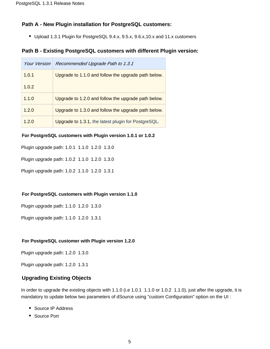#### **Path A - New Plugin installation for PostgreSQL customers:**

Upload 1.3.1 Plugin for PostgreSQL 9.4.x, 9.5.x, 9.6.x,10.x and 11.x customers

#### **Path B - Existing PostgreSQL customers with different Plugin version:**

| Your Version | Recommended Upgrade Path to 1.3.1                   |
|--------------|-----------------------------------------------------|
| 1.0.1        | Upgrade to 1.1.0 and follow the upgrade path below. |
| 1.0.2        |                                                     |
| 1.1.0        | Upgrade to 1.2.0 and follow the upgrade path below. |
| 1.2.0        | Upgrade to 1.3.0 and follow the upgrade path below. |
| 1.2.0        | Upgrade to 1.3.1, the latest plugin for PostgreSQL. |

#### **For PostgreSQL customers with Plugin version 1.0.1 or 1.0.2**

Plugin upgrade path: 1.0.1 1.1.0 1.2.0 1.3.0

Plugin upgrade path: 1.0.2 1.1.0 1.2.0 1.3.0

Plugin upgrade path: 1.0.2 1.1.0 1.2.0 1.3.1

#### **For PostgreSQL customers with Plugin version 1.1.0**

Plugin upgrade path: 1.1.0 1.2.0 1.3.0

Plugin upgrade path: 1.1.0 1.2.0 1.3.1

#### **For PostgreSQL customer with Plugin version 1.2.0**

Plugin upgrade path: 1.2.0 1.3.0

Plugin upgrade path: 1.2.0 1.3.1

#### **Upgrading Existing Objects**

In order to upgrade the existing objects with 1.1.0 (i.e 1.0.1 1.1.0 or 1.0.2 1.1.0), just after the upgrade, it is mandatory to update below two parameters of dSource using "custom Configuration" option on the UI :

- Source IP Address
- Source Port